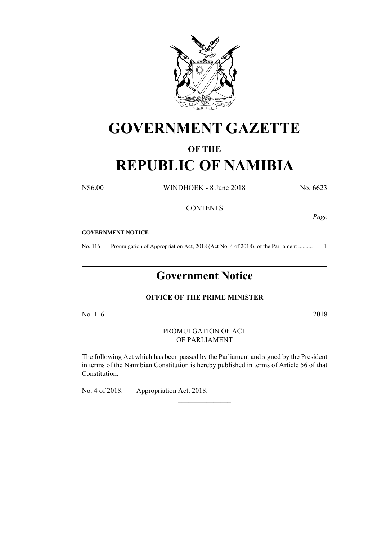

# **GOVERNMENT GAZETTE**

## **OF THE**

# **REPUBLIC OF NAMIBIA**

N\$6.00 WINDHOEK - 8 June 2018 No. 6623

#### **CONTENTS**

*Page*

#### **GOVERNMENT NOTICE**

No. 116 Promulgation of Appropriation Act, 2018 (Act No. 4 of 2018), of the Parliament .......................  $\frac{1}{2}$  ,  $\frac{1}{2}$  ,  $\frac{1}{2}$  ,  $\frac{1}{2}$  ,  $\frac{1}{2}$  ,  $\frac{1}{2}$  ,  $\frac{1}{2}$ 

# **Government Notice**

#### **OFFICE OF THE PRIME MINISTER**

No. 116 2018

#### PROMULGATION OF ACT OF PARLIAMENT

The following Act which has been passed by the Parliament and signed by the President in terms of the Namibian Constitution is hereby published in terms of Article 56 of that Constitution.

 $\overline{\phantom{a}}$  , where  $\overline{\phantom{a}}$ 

No. 4 of 2018: Appropriation Act, 2018.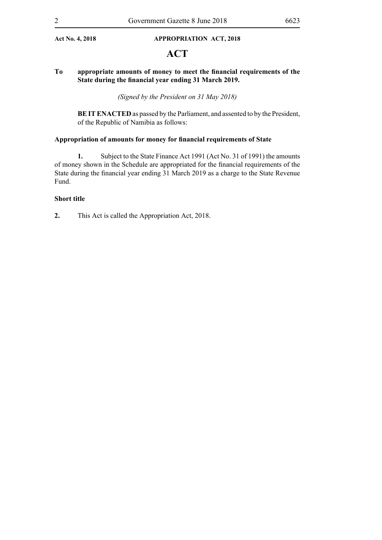#### **Act No. 4, 2018 APPROPRIATION Act, 2018**

# **ACT**

#### **To appropriate amounts of money to meet the financial requirements of the State during the financial year ending 31 March 2019.**

*(Signed by the President on 31 May 2018)*

**BE IT ENACTED** as passed by the Parliament, and assented to by the President, of the Republic of Namibia as follows:

#### **Appropriation of amounts for money for financial requirements of State**

**1.** Subject to the State Finance Act 1991 (Act No. 31 of 1991) the amounts of money shown in the Schedule are appropriated for the financial requirements of the State during the financial year ending 31 March 2019 as a charge to the State Revenue Fund.

#### **Short title**

**2.** This Act is called the Appropriation Act, 2018.